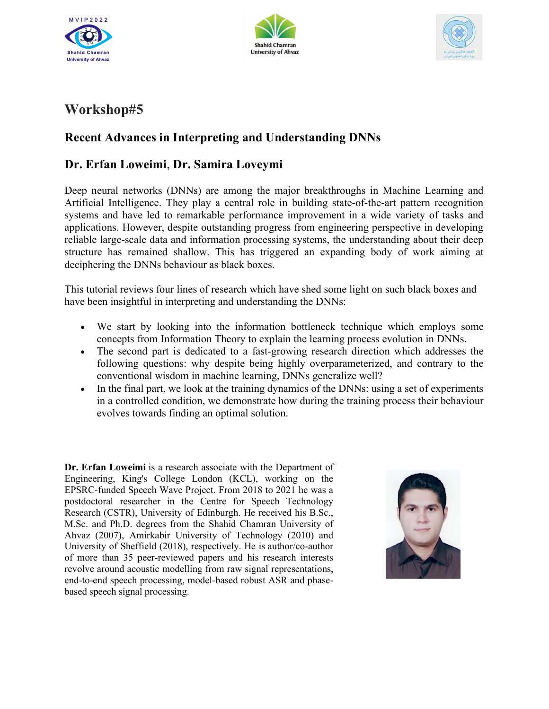





## Workshop#5

## Recent Advances in Interpreting and Understanding DNNs

## Dr. Erfan Loweimi, Dr. Samira Loveymi

Deep neural networks (DNNs) are among the major breakthroughs in Machine Learning and Artificial Intelligence. They play a central role in building state-of-the-art pattern recognition systems and have led to remarkable performance improvement in a wide variety of tasks and applications. However, despite outstanding progress from engineering perspective in developing reliable large-scale data and information processing systems, the understanding about their deep structure has remained shallow. This has triggered an expanding body of work aiming at deciphering the DNNs behaviour as black boxes.

This tutorial reviews four lines of research which have shed some light on such black boxes and have been insightful in interpreting and understanding the DNNs:

- We start by looking into the information bottleneck technique which employs some concepts from Information Theory to explain the learning process evolution in DNNs.
- The second part is dedicated to a fast-growing research direction which addresses the following questions: why despite being highly overparameterized, and contrary to the conventional wisdom in machine learning, DNNs generalize well?
- In the final part, we look at the training dynamics of the DNNs: using a set of experiments in a controlled condition, we demonstrate how during the training process their behaviour evolves towards finding an optimal solution.

Dr. Erfan Loweimi is a research associate with the Department of Engineering, King's College London (KCL), working on the EPSRC-funded Speech Wave Project. From 2018 to 2021 he was a postdoctoral researcher in the Centre for Speech Technology Research (CSTR), University of Edinburgh. He received his B.Sc., M.Sc. and Ph.D. degrees from the Shahid Chamran University of Ahvaz (2007), Amirkabir University of Technology (2010) and University of Sheffield (2018), respectively. He is author/co-author of more than 35 peer-reviewed papers and his research interests revolve around acoustic modelling from raw signal representations, end-to-end speech processing, model-based robust ASR and phasebased speech signal processing.